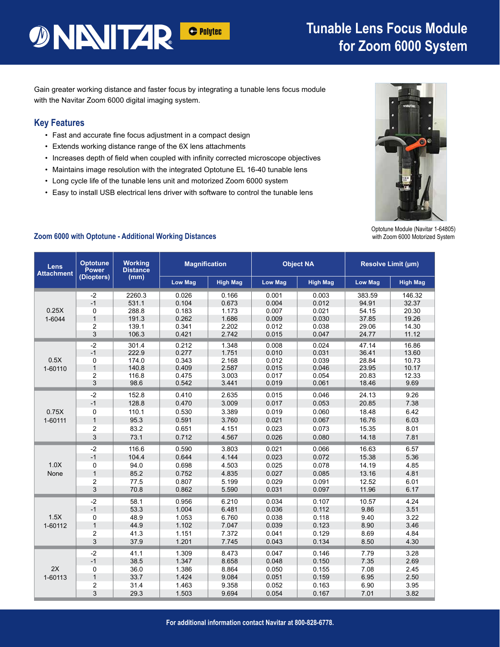# **DINITAR**

### **Tunable Lens Focus Module for Zoom 6000 System**

Gain greater working distance and faster focus by integrating a tunable lens focus module with the Navitar Zoom 6000 digital imaging system.

#### **Key Features**

- Fast and accurate fine focus adjustment in a compact design
- Extends working distance range of the 6X lens attachments
- Increases depth of field when coupled with infinity corrected microscope objectives
- Maintains image resolution with the integrated Optotune EL 16-40 tunable lens
- Long cycle life of the tunable lens unit and motorized Zoom 6000 system
- Easy to install USB electrical lens driver with software to control the tunable lens



Optotune Module (Navitar 1-64805) with Zoom 6000 Motorized System

| Lens<br><b>Attachment</b> | <b>Optotune</b><br><b>Power</b><br>(Diopters) | <b>Working</b><br><b>Distance</b><br>(mm) | <b>Magnification</b> |                 |                | <b>Object NA</b> | Resolve Limit (µm) |                 |
|---------------------------|-----------------------------------------------|-------------------------------------------|----------------------|-----------------|----------------|------------------|--------------------|-----------------|
|                           |                                               |                                           | <b>Low Mag</b>       | <b>High Mag</b> | <b>Low Mag</b> | <b>High Mag</b>  | <b>Low Mag</b>     | <b>High Mag</b> |
| 0.25X<br>1-6044           | $-2$                                          | 2260.3                                    | 0.026                | 0.166           | 0.001          | 0.003            | 383.59             | 146.32          |
|                           | $-1$                                          | 531.1                                     | 0.104                | 0.673           | 0.004          | 0.012            | 94.91              | 32.37           |
|                           | 0                                             | 288.8                                     | 0.183                | 1.173           | 0.007          | 0.021            | 54.15              | 20.30           |
|                           | $\mathbf{1}$                                  | 191.3                                     | 0.262                | 1.686           | 0.009          | 0.030            | 37.85              | 19.26           |
|                           | 2                                             | 139.1                                     | 0.341                | 2.202           | 0.012          | 0.038            | 29.06              | 14.30           |
|                           | 3                                             | 106.3                                     | 0.421                | 2.742           | 0.015          | 0.047            | 24.77              | 11.12           |
| 0.5X<br>1-60110           | $-2$                                          | 301.4                                     | 0.212                | 1.348           | 0.008          | 0.024            | 47.14              | 16.86           |
|                           | $-1$                                          | 222.9                                     | 0.277                | 1.751           | 0.010          | 0.031            | 36.41              | 13.60           |
|                           | $\mathbf 0$                                   | 174.0                                     | 0.343                | 2.168           | 0.012          | 0.039            | 28.84              | 10.73           |
|                           | $\mathbf{1}$                                  | 140.8                                     | 0.409                | 2.587           | 0.015          | 0.046            | 23.95              | 10.17           |
|                           | $\overline{2}$                                | 116.8                                     | 0.475                | 3.003           | 0.017          | 0.054            | 20.83              | 12.33           |
|                           | $\sqrt{3}$                                    | 98.6                                      | 0.542                | 3.441           | 0.019          | 0.061            | 18.46              | 9.69            |
|                           | $-2$                                          | 152.8                                     | 0.410                | 2.635           | 0.015          | 0.046            | 24.13              | 9.26            |
|                           | $-1$                                          | 128.8                                     | 0.470                | 3.009           | 0.017          | 0.053            | 20.85              | 7.38            |
| 0.75X<br>1-60111          | $\mathbf 0$                                   | 110.1                                     | 0.530                | 3.389           | 0.019          | 0.060            | 18.48              | 6.42            |
|                           | $\mathbf{1}$                                  | 95.3                                      | 0.591                | 3.760           | 0.021          | 0.067            | 16.76              | 6.03            |
|                           | $\overline{c}$                                | 83.2                                      | 0.651                | 4.151           | 0.023          | 0.073            | 15.35              | 8.01            |
|                           | 3                                             | 73.1                                      | 0.712                | 4.567           | 0.026          | 0.080            | 14.18              | 7.81            |
| 1.0X<br>None              | $-2$                                          | 116.6                                     | 0.590                | 3.803           | 0.021          | 0.066            | 16.63              | 6.57            |
|                           | $-1$                                          | 104.4                                     | 0.644                | 4.144           | 0.023          | 0.072            | 15.38              | 5.36            |
|                           | 0                                             | 94.0                                      | 0.698                | 4.503           | 0.025          | 0.078            | 14.19              | 4.85            |
|                           | $\mathbf{1}$                                  | 85.2                                      | 0.752                | 4.835           | 0.027          | 0.085            | 13.16              | 4.81            |
|                           | $\overline{c}$                                | 77.5                                      | 0.807                | 5.199           | 0.029          | 0.091            | 12.52              | 6.01            |
|                           | $\mathfrak{S}$                                | 70.8                                      | 0.862                | 5.590           | 0.031          | 0.097            | 11.96              | 6.17            |
| 1.5X<br>1-60112           | $-2$                                          | 58.1                                      | 0.956                | 6.210           | 0.034          | 0.107            | 10.57              | 4.24            |
|                           | $-1$                                          | 53.3                                      | 1.004                | 6.481           | 0.036          | 0.112            | 9.86               | 3.51            |
|                           | $\mathbf 0$                                   | 48.9                                      | 1.053                | 6.760           | 0.038          | 0.118            | 9.40               | 3.22            |
|                           | $\mathbf{1}$                                  | 44.9                                      | 1.102                | 7.047           | 0.039          | 0.123            | 8.90               | 3.46            |
|                           | $\overline{c}$                                | 41.3                                      | 1.151                | 7.372           | 0.041          | 0.129            | 8.69               | 4.84            |
|                           | $\sqrt{3}$                                    | 37.9                                      | 1.201                | 7.745           | 0.043          | 0.134            | 8.50               | 4.30            |
| 2X<br>1-60113             | $-2$                                          | 41.1                                      | 1.309                | 8.473           | 0.047          | 0.146            | 7.79               | 3.28            |
|                           | $-1$                                          | 38.5                                      | 1.347                | 8.658           | 0.048          | 0.150            | 7.35               | 2.69            |
|                           | $\mathbf 0$                                   | 36.0                                      | 1.386                | 8.864           | 0.050          | 0.155            | 7.08               | 2.45            |
|                           | $\mathbf{1}$                                  | 33.7                                      | 1.424                | 9.084           | 0.051          | 0.159            | 6.95               | 2.50            |
|                           | $\overline{2}$                                | 31.4                                      | 1.463                | 9.358           | 0.052          | 0.163            | 6.90               | 3.95            |
|                           | 3                                             | 29.3                                      | 1.503                | 9.694           | 0.054          | 0.167            | 7.01               | 3.82            |

#### **Zoom 6000 with Optotune - Additional Working Distances**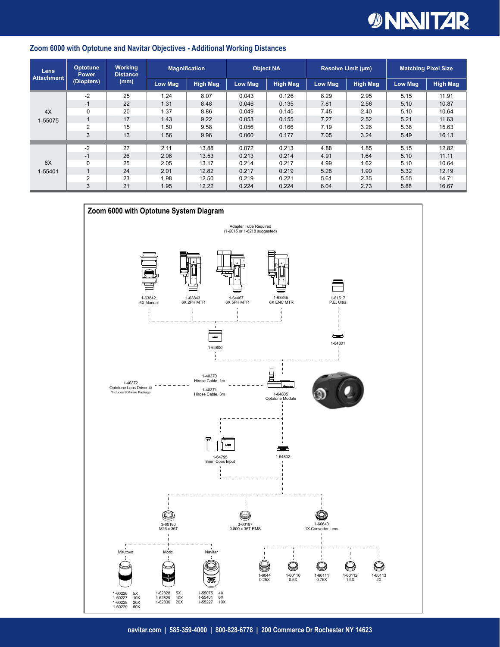# *DINNITAR*

#### **Zoom 6000 with Optotune and Navitar Objectives - Additional Working Distances**

| <b>Lens</b><br><b>Attachment</b> | <b>Optotune</b><br><b>Power</b><br>(Diopters) | <b>Working</b><br><b>Distance</b><br>(mm) | <b>Magnification</b> |                 | <b>Object NA</b> |                 | <b>Resolve Limit (um)</b> |                 | <b>Matching Pixel Size</b> |                 |
|----------------------------------|-----------------------------------------------|-------------------------------------------|----------------------|-----------------|------------------|-----------------|---------------------------|-----------------|----------------------------|-----------------|
|                                  |                                               |                                           | <b>Low Mag</b>       | <b>High Mag</b> | Low Mag          | <b>High Mag</b> | Low Mag                   | <b>High Mag</b> | Low Mag                    | <b>High Mag</b> |
| 4X<br>1-55075                    | $-2$                                          | 25                                        | 1.24                 | 8.07            | 0.043            | 0.126           | 8.29                      | 2.95            | 5.15                       | 11.91           |
|                                  | $-1$                                          | 22                                        | 1.31                 | 8.48            | 0.046            | 0.135           | 7.81                      | 2.56            | 5.10                       | 10.87           |
|                                  | 0                                             | 20                                        | 1.37                 | 8.86            | 0.049            | 0.145           | 7.45                      | 2.40            | 5.10                       | 10.64           |
|                                  | $\mathbf{1}$                                  | 17                                        | 1.43                 | 9.22            | 0.053            | 0.155           | 7.27                      | 2.52            | 5.21                       | 11.63           |
|                                  | 2                                             | 15                                        | 1.50                 | 9.58            | 0.056            | 0.166           | 7.19                      | 3.26            | 5.38                       | 15.63           |
|                                  | 3                                             | 13                                        | 1.56                 | 9.96            | 0.060            | 0.177           | 7.05                      | 3.24            | 5.49                       | 16.13           |
|                                  |                                               |                                           |                      |                 |                  |                 |                           |                 |                            |                 |
| 6X<br>1-55401                    | $-2$                                          | 27                                        | 2.11                 | 13.88           | 0.072            | 0.213           | 4.88                      | 1.85            | 5.15                       | 12.82           |
|                                  | $-1$                                          | 26                                        | 2.08                 | 13.53           | 0.213            | 0.214           | 4.91                      | 1.64            | 5.10                       | 11.11           |
|                                  | 0                                             | 25                                        | 2.05                 | 13.17           | 0.214            | 0.217           | 4.99                      | 1.62            | 5.10                       | 10.64           |
|                                  | $\mathbf{1}$                                  | 24                                        | 2.01                 | 12.82           | 0.217            | 0.219           | 5.28                      | 1.90            | 5.32                       | 12.19           |
|                                  | $\overline{2}$                                | 23                                        | 1.98                 | 12.50           | 0.219            | 0.221           | 5.61                      | 2.35            | 5.55                       | 14.71           |
|                                  | 3                                             | 21                                        | 1.95                 | 12.22           | 0.224            | 0.224           | 6.04                      | 2.73            | 5.88                       | 16.67           |